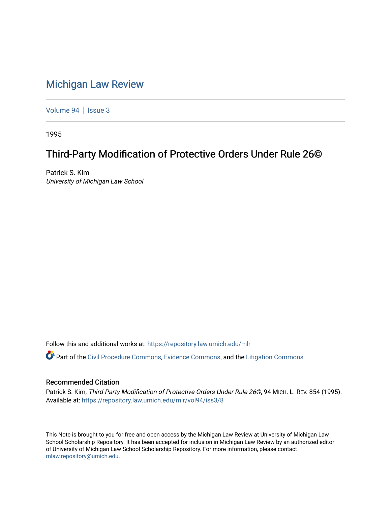# [Michigan Law Review](https://repository.law.umich.edu/mlr)

[Volume 94](https://repository.law.umich.edu/mlr/vol94) | [Issue 3](https://repository.law.umich.edu/mlr/vol94/iss3)

1995

# Third-Party Modification of Protective Orders Under Rule 26©

Patrick S. Kim University of Michigan Law School

Follow this and additional works at: [https://repository.law.umich.edu/mlr](https://repository.law.umich.edu/mlr?utm_source=repository.law.umich.edu%2Fmlr%2Fvol94%2Fiss3%2F8&utm_medium=PDF&utm_campaign=PDFCoverPages) 

Part of the [Civil Procedure Commons,](http://network.bepress.com/hgg/discipline/584?utm_source=repository.law.umich.edu%2Fmlr%2Fvol94%2Fiss3%2F8&utm_medium=PDF&utm_campaign=PDFCoverPages) [Evidence Commons](http://network.bepress.com/hgg/discipline/601?utm_source=repository.law.umich.edu%2Fmlr%2Fvol94%2Fiss3%2F8&utm_medium=PDF&utm_campaign=PDFCoverPages), and the [Litigation Commons](http://network.bepress.com/hgg/discipline/910?utm_source=repository.law.umich.edu%2Fmlr%2Fvol94%2Fiss3%2F8&utm_medium=PDF&utm_campaign=PDFCoverPages)

## Recommended Citation

Patrick S. Kim, Third-Party Modification of Protective Orders Under Rule 26©, 94 MICH. L. REV. 854 (1995). Available at: [https://repository.law.umich.edu/mlr/vol94/iss3/8](https://repository.law.umich.edu/mlr/vol94/iss3/8?utm_source=repository.law.umich.edu%2Fmlr%2Fvol94%2Fiss3%2F8&utm_medium=PDF&utm_campaign=PDFCoverPages)

This Note is brought to you for free and open access by the Michigan Law Review at University of Michigan Law School Scholarship Repository. It has been accepted for inclusion in Michigan Law Review by an authorized editor of University of Michigan Law School Scholarship Repository. For more information, please contact [mlaw.repository@umich.edu.](mailto:mlaw.repository@umich.edu)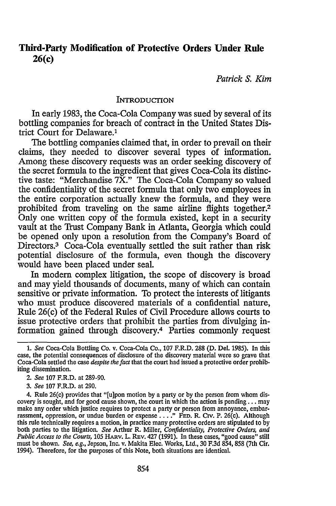## **Third-Party Modification of Protective Orders Under Rule 26(c)**

*Patrick S. Kim* 

#### **INTRODUCTION**

In early 1983, the Coca-Cola Company was sued by several of its bottling companies for breach of contract in the United States District Court for Delaware.<sup>1</sup>

The bottling companies claimed that, in order to prevail on their claims, they needed to discover several types of information. Among these discovery requests was an order seeking discovery of the secret formula to the ingredient that gives Coca-Cola its distinctive taste: "Merchandise  $7X$ ." The Coca-Cola Company so valued the confidentiality of the secret formula that only two employees in the entire corporation actually knew the formula, and they were prohibited from traveling on the same airline flights together.2 Only one written copy of the formula existed, kept in a security vault at the Trust Company Bank in Atlanta, Georgia which could be opened only upon a resolution from the Company's Board of Directors.3 Coca-Cola eventually settled the suit rather than risk potential disclosure of the formula, even though the discovery would have been placed under seal.

In modem complex litigation, the scope of discovery is broad and may yield thousands of documents, many of which can contain sensitive or private information. To protect the interests of litigants who must produce discovered materials of a confidential nature, Rule 26(c) of the Federal Rules of Civil Procedure allows courts to issue protective orders that prohibit the parties from divulging information gained through discovery.4 Parties commonly request

<sup>1.</sup> *See* Coca-Cola Bottling Co. v. Coca-Cola Co., 107 F.R.D. 288 (D. Del. 1985). In this case, the potential consequences of disclosure of the discovery material were so grave that Coca-Cola settled the case *despite the fact* that the court had issued a protective order prohibiting dissemination.

<sup>2.</sup> *See* 107 F.R.D. at 289-90.

<sup>3.</sup> *See* 107 F.R.D. at 290.

<sup>4.</sup> Rule 26(c) provides that "[u]pon motion by a party or by the person from whom discovery is sought, and for good cause shown, the court in which the action is pending  $\dots$  may make any order which justice requires to protect a party or person from annoyance, embar-rassment, oppression, or undue burden or expense .... " FED. R. CIV. P. 26(c). Although this rule technically requires a motion, in practice many protective orders are stipulated to by both parties to the litigation. *See* Arthur R. Miller, *Confidentiality, Protective Orders, and Public Access to the Courts,* 105 HARV. L. REv. 427 (1991). In these cases, "good cause" still must be shown. *See, e.g.,* Jepson, Inc. v. Makita Elec. Works, Ltd., 30 F.3d 854, 858 (7th Cir. 1994). Therefore, for the purposes of this Note, both situations are identical.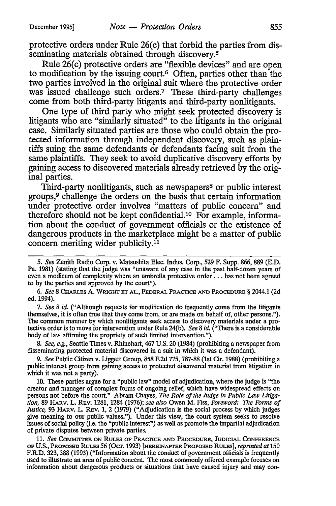protective orders under Rule  $26(c)$  that forbid the parties from disseminating materials obtained through discovery.<sup>5</sup>

Rule 26(c) protective orders are "flexible devices" and are open to modification by the issuing court.<sup>6</sup> Often, parties other than the two parties involved in the original suit where the protective order was issued challenge such orders.<sup>7</sup> These third-party challenges come from both third-party litigants and third-party nonlitigants.

One type of third party who might seek protected discovery is litigants who are "similarly situated" to the litigants in the original case. Similarly situated parties are those who could obtain the protected information through independent discovery, such as plaintiffs suing the same defendants or defendants facing suit from the same plaintiffs. They seek to avoid duplicative discovery efforts by gaining access to discovered materials already retrieved by the original parties.

Third-party nonlitigants, such as newspapers<sup>8</sup> or public interest groups,9 challenge the orders on the basis that certain information under protective order involves "matters of public concern" and therefore should not be kept confidential.<sup>10</sup> For example, information about the conduct of government officials or the existence of dangerous products in the marketplace might be a matter of public concern meriting wider publicity.<sup>11</sup>

6. *See* 8 CHARLES A. Wrumrr ET AL., FEDERAL PRACTICE AND PROCEDURE § 2044.1 (2d ed. 1994}.

7. *See* 8 *id.* ("Although requests for modification do frequently come from the litigants themselves, it is often true that they come from, or are made on behalf of, other persons."). The common manner by which nonlitigants seek access to discovery materials under a protective order is to move for intervention under Rule 24(b ). *See* 8 *id.* ("There is a considerable body of law affirming the propriety of such limited intervention.").

8. *See, e.g.,* Seattle Tunes v. Rhinehart, 467 U.S. 20 (1984} (prohibiting a newspaper from disseminating protected material discovered in a suit in which it was a defendant).

9. *See* Public Citizen v. Liggett Group, 858 F.2d 775, 787-88 (1st Cir. 1988) (prohibiting a public interest group from gaining access to protected discovered material from litigation in which it was not a party).

10. These parties argue for a "public law" model of adjudication, where the judge is "the creator and manager of complex forms of ongoing relief, which have widespread effects on persons not before the court." Abram Chayes, *The Role of the Judge in Public Law Litigation,* 89 HARV. L. REv. 1281, 1284 (1976}; *see also* Owen M. Fiss, *Foreword: The Forms of Justice,* 93 HARv. L. REv. 1, 2 (1979} ("Adjudication is the social process by which judges give meaning to our public values."). Under this view, the court system seeks to resolve issues of social policy (i.e. the "public interest") as well as promote the impartial adjudication of private disputes between private parties.

11. See COMMITTEE ON RULES OF PRACTICE AND PROCEDURE, JUDICIAL CONFERENCE OF U.S., PROPOSED RULES 56 (Ocr. 1993) [HEREINAFTER PROPOSED RULES), *reprinted at* 150 F.R.D. 323, 388 (1993} ("Information about the conduct of government officials is frequently used to illustrate an area of public concern. The most commonly offered example focuses on information about dangerous products or situations that have caused injury and may con-

<sup>5.</sup> *See* Zenith Radio Corp. v. Matsushita Elec. Indus. Corp., 529 F. Supp. 866, 889 (E.D. Pa. 1981} (stating that the judge was "unaware of any case in the past half-dozen years of even a modicum of complexity where an umbrella protective order ... has not been agreed to by the parties and approved by the court").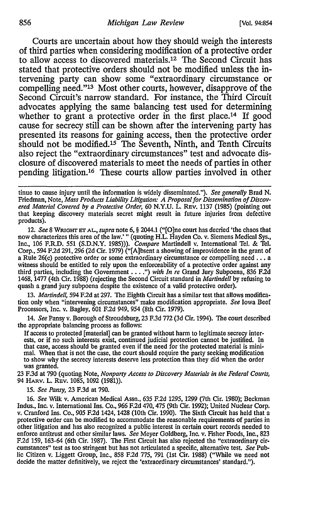#### 856 *Michigan Law Review* [Vol. 94:854

Courts are uncertain about how they should weigh the interests of third parties when considering modification of a protective order to allow access to discovered materials.12 The Second Circuit has stated that protective orders should not be modified unless the intervening party can show some "extraordinary circumstance or compelling need."13 Most other courts, however, disapprove of the Second Circuit's narrow standard. For instance, the Third Circuit advocates applying the same balancing test used for determining whether to grant a protective order in the first place.<sup>14</sup> If good cause for secrecy still can be shown after the intervening party has presented its reasons for gaining access, then the protective order should not be modified.<sup>15</sup> The Seventh, Ninth, and Tenth Circuits also reject the "extraordinary circumstances" test and advocate disclosure of discovered materials to meet the needs of parties in other pending litigation.16 These courts allow parties involved in other

tinue to cause injury until the information is widely disseminated."). *See generally* Brad N. Friedman, Note, *Mass Products Liability Litigation: A Proposal for Dissemination of DiscoV· ered Material Covered by a Protective Order,* 60 N.Y.U. L. REv. 1137 (1985) (pointing out that keeping discovery materials secret might result in future injuries from defective products).

12. *See* 8 Wrumrr ET AL., *supra* note 6, § 2044.1 ("[O]ne court has decried 'the chaos that now characterizes this area of the law.'" (quoting H.L. Hayden Co. v. Siemens Medical Sys., Inc., 106 F.R.D. 551 (S.D.N.Y. 1985))). *Compare* Martindell v. International Tel. & Tel. Corp., 594 F.2d 291, 296 (2d Cir. 1979) ("[A]bsent a showing of improvidence in the grant of a Rule 26(c) protective order or some extraordinary circumstance or compelling need ... a witness should be entitled to rely upon the enforceability of a protective order against any third parties, including the Government ... .'') *with In re* Grand Jury Subpoena, 836 F.2d 1468, 1477 (4th Cir. 1988) (rejecting the Second Circuit standard in *Martinde/1* by refusing to quash a grand jury subpoena despite the existence of a valid protective order).

13. *Martinde/1,* 594 F.2d at 297. The Eighth Circuit has a similar test that allows modification only when "intervening circumstances" make modification appropriate. *See* Iowa Beef Processors, Inc. v. Bagley, 601 F.2d 949, 954 (8th Cir. 1979).

14. *See* Pansy v. Borough of Stroudsburg, 23 F.3d 772 (3d Cir. 1994). The court described the appropriate balancing process as follows:

If access to protected [material] can be granted without harm to legitimate secrecy interests, or if no such interests exist, continued judicial protection cannot be justified. In that case, access should be granted even if the need for the protected material is mini· mal. When that is not the case, the court should require the party seeking modification to show why the secrecy interests deserve less protection than they did when the order was granted.

23 F.3d at 790 (quoting Note, *Nonparty Access to Discovery Materials in the Federal Courts,*  94 HARV. L. REV. 1085, 1092 (1981)).

15. *See Pansy,* 23 F.3d at 790.

16. *See* Wilk v. American Medical Assn., 635 F.2d 1295, 1299 (7th Cir. 1980); Beckman Indus., Inc. v. International Ins. Co., 966 F.2d 470, 475 (9th Cir. 1992); United Nuclear Corp. v. Cranford Ins. Co., 905 F.2d 1424, 1428 (lOth Cir. 1990). The Sixth Circuit has held that a protective order can be modified to accommodate the reasonable requirements of parties in other litigation and has also recognized a public interest in certain court records needed to enforce antitrust and other similar laws. *See* Meyer Goldberg, Inc. v. Fisher Foods, Inc., 823 F.2d 159, 163-64 (6th Cir. 1987). The First Circuit has also rejected the "extraordinary cir· cumstances" test as too stringent but has not articulated a specific, alternative test. *See* Public Citizen v. Liggett Group, Inc., 858 F.2d 775, 791 (1st Cir. 1988) ("While we need not decide the matter definitively, we reject the 'extraordinary circumstances' standard.'').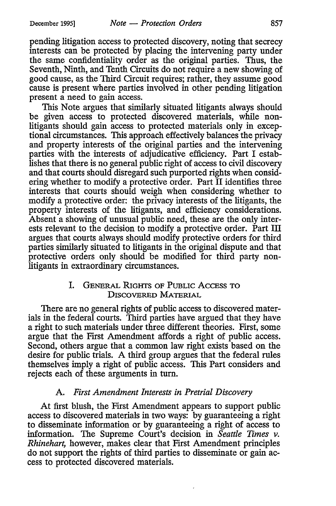pending litigation access to protected discovery, noting that secrecy interests can be protected by placing the intervening party under the same confidentiality order as the original parties. Thus, the Seventh, Ninth, and Tenth Circuits do not require a new showing of good cause, as the Third Circuit requires; rather, they assume good cause is present where parties involved in other pending litigation present a need to gain access.

This Note argues that similarly situated litigants always should be given access to protected discovered materials, while nonlitigants should gain access to protected materials only in exceptional circumstances. This approach effectively balances the privacy and property interests of the original parties and the intervening parties with the interests of adjudicative efficiency. Part I establishes that there is no general public right of access to civil discovery and that courts should disregard such purported rights when considering whether to modify a protective order. Part II identifies three interests that courts should weigh when considering whether to modify a protective order: the privacy interests of the litigants, the property interests of the litigants, and efficiency considerations. Absent a showing of unusual public need, these are the only interests relevant to the decision to modify a protective order. Part III argues that courts always should modify protective orders for third parties similarly situated to litigants in the original dispute and that protective orders only should be modified for third party nonlitigants in extraordinary circumstances.

## I. GENERAL RIGHTS oF PUBLIC AccEss TO DISCOVERED MATERIAL

There are no general rights of public access to discovered materials in the federal courts. Third parties have argued that they have a right to such materials under three different theories. First, some argue that the First Amendment affords a right of public access. Second, others argue that a common law right exists based on the desire for public trials. A third group argues that the federal rules themselves imply a right of public access. This Part considers and rejects each of these arguments in tum.

## A. *First Amendment Interests in Pretrial Discovery*

At first blush, the First Amendment appears to support public access to discovered materials in two ways: by guaranteeing a right to disseminate information or by guaranteeing a right of access to information. The Supreme Court's decision in *Seattle Times v. Rhinehart,* however, makes clear that First Amendment principles do not support the rights of third parties to disseminate or gain access to protected discovered materials.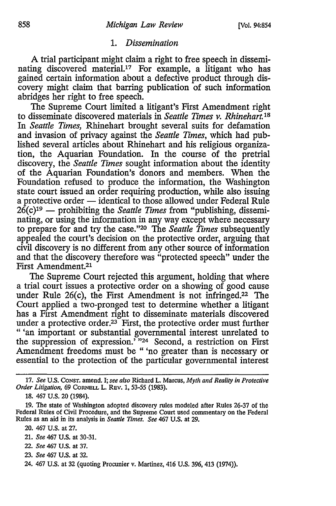### 1. *Dissemination*

A trial participant might claim a right to free speech in disseminating discovered material.<sup>17</sup> For example, a litigant who has gained certain information about a defective product through discovery might claim that barring publication of such information abridges her right to free speech.

The Supreme Court limited a litigant's First Amendment right to disseminate discovered materials in *Seattle Times v. Rhinehart.1s*  In *Seattle Times,* Rhinehart brought several suits for defamation and invasion of privacy against the *Seattle Times,* which had published several articles about Rhinehart and his religious organization, the Aquarian Foundation. In the course of the pretrial discovery, the *Seattle Times* sought information about the identity of the Aquarian Foundation's donors and members. When the Foundation refused to produce the information, the Washington state court issued an order requiring production, while also issuing a protective order — identical to those allowed under Federal Rule  $26(c)^{19}$  — prohibiting the *Seattle Times* from "publishing, disseminating, or using the information in any way except where necessary to prepare for and try the case."20 The *Seattle Times* subsequently appealed the court's decision on the protective order, arguing that civil discovery is no different from any other source of information and that the discovery therefore was "protected speech" under the First Amendment.<sup>21</sup>

The Supreme Court rejected this argument, holding that where a trial court issues a protective order on a showing of good cause under Rule  $26(c)$ , the First Amendment is not infringed.<sup>22</sup> The Court applied a two-pronged test to determine whether a litigant has a First Amendment right to disseminate materials discovered under a protective order.23 First, the protective order must further " 'an important or substantial governmental interest unrelated to the suppression of expression.<sup>5</sup>"<sup>24</sup> Second, a restriction on First Amendment freedoms must be " 'no greater than is necessary or essential to the protection of the particular governmental interest

- 20. 467 U.S. at 27.
- 21. *See* 467 U.S. at 30-31.
- 22. *See 461* U.S. at 37.
- 23. *See 461* U.S. at 32.

<sup>17.</sup> *See* U.S. CaNsT. amend. I; *see also* Richard L. Marcus, *Myth and Reality in Protective Order Litigation,* 69 CoRNELL L. REv. 1, 53-55 (1983).

<sup>18. 467</sup> u.s. 20 (1984).

<sup>19.</sup> The state of Washington adopted discovery rules modeled after Rules 26-37 of the Federal Rules of Civil Procedure, and the Supreme Court used commentary on the Federal Rules as an aid in its analysis in *Seattle Times. See* 467 U.S. at 29.

<sup>24. 467</sup> U.S. at 32 (quoting Procunier v. Martinez, 416 U.S. 396, 413 (1974)).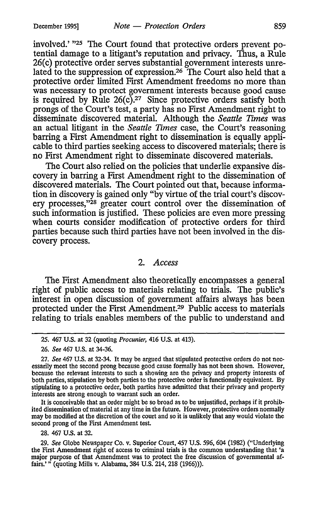involved.' "25 The Court found that protective orders prevent potential damage to a litigant's reputation and privacy. Thus, a Rule 26( c) protective order serves substantial government interests unrelated to the suppression of expression.<sup>26</sup> The Court also held that a protective order limited First Amendment freedoms no more than was necessary to protect government interests because good cause is required by Rule  $26(c).^{27}$  Since protective orders satisfy both prongs of the Court's test, a party has no First Amendment right to disseminate discovered material. Although the *Seattle Times* was an actual litigant in the *Seattle Times* case, the Court's reasoning barring a First Amendment right to dissemination is equally applicable to third parties seeking access to discovered materials; there is no First Amendment right to disseminate discovered materials.

The Court also relied on the policies that underlie expansive discovery in barring a First Amendment right to the dissemination of discovered materials. The Court pointed out that, because information in discovery is gained only "by virtue of the trial court's discovery processes,"28 greater court control over the dissemination of such information is justified. These policies are even more pressing when courts consider modification of protective orders for third parties because such third parties have not been involved in the discovery process.

#### 2. *Access*

The First Amendment also theoretically encompasses a general right of public access to materials relating to trials. The public's interest in open discussion of government affairs always has been protected under the First Amendment.29 Public access to materials relating to trials enables members of the public to understand and

It is conceivable that an order might be so broad as to be unjustified, perhaps if it prohibited dissemination of material at any time in the future. However, protective orders normally may be modified at the discretion of the court and so it is unlikely that any would violate the second prong of the First Amendment test.

28. 467 U.S. at 32.

29. *See* Globe Newspaper Co. v. Superior Court, 457 U.S. 596, 604 {1982) ("Underlying the First Amendment right of access to criminal trials is the common understanding that 'a major purpose of that Amendment was to protect the free discussion of governmental affairs.'" (quoting Mills v. Alabama, 384 U.S. 214, 218 (1966))).

<sup>25. 467</sup> U.S. at 32 (quoting *Procunier,* 416 U.S. at 413).

<sup>26.</sup> *See* 467 U.S. at 34-36.

<sup>27.</sup> *See* 467 U.S. at 32-34. It may be argued that stipulated protective orders do not necessarily meet the second prong because good cause formally has not been shown. However, because the relevant interests to such a showing are the privacy and property interests of both parties, stipulation by both parties to the protective order is functionally equivalent. By stipulating to a protective order, both parties have admitted that their privacy and property interests are strong enough to warrant such an order.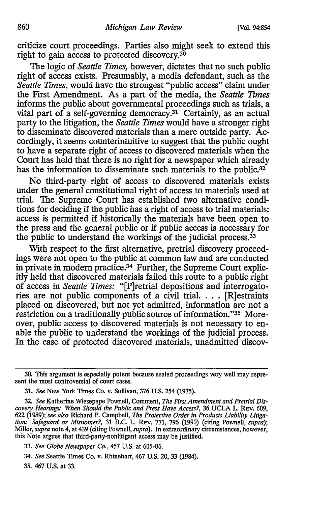criticize court proceedings. Parties also might seek to extend this right to gain access to protected discovery.3o

The logic of *Seattle Times,* however, dictates that no such public right of access exists. Presumably, a media defendant, such as the *Seattle Times,* would have the strongest "public access" claim under the First Amendment. As a part of the media, the *Seattle Times*  informs the public about governmental proceedings such as trials, a vital part of a self-governing democracy.31 Certainly, as an actual party to the litigation, the *Seattle Times* would have a stronger right to disseminate discovered materials than a mere outside party. Accordingly, it seems counterintuitive to suggest that the public ought to have a separate right of access to discovered materials when the Court has held that there is no right for a newspaper which already has the information to disseminate such materials to the public.<sup>32</sup>

No third-party right of access to discovered materials exists under the general constitutional right of access to materials used at trial. The Supreme Court has established two alternative conditions for deciding if the public has a right of access to trial materials: access is permitted if historically the materials have been open to the press and the general public or if public access is necessary for the public to understand the workings of the judicial process.<sup>33</sup>

With respect to the first alternative, pretrial discovery proceedings were not open to the public at common law and are conducted in private in modern practice.<sup>34</sup> Further, the Supreme Court explicitly held that discovered materials failed this route to a public right of access in *Seattle Times:* "[P]retrial depositions and interrogato-ries are not public components of a civil trial .... [R]estraints placed on discovered, but not yet admitted, information are not a restriction on a traditionally public source of information. "35 Moreover, public access to discovered materials is not necessary to enable the public to understand the workings of the judicial process. In the case of protected discovered materials, unadmitted discov-

35. 467 U.S. at 33.

<sup>30.</sup> This argument is especially potent because sealed proceedings very well may represent the most controversial of court cases.

<sup>31.</sup> *See* New York Times Co. v. Sullivan, 376 U.S. 254 (1975).

<sup>32.</sup> *See* Katherine Wiesepape Pownell, Comment, *The First Amendment and Pretrial Discovery Hearings: When Should the Public and Press Have Access?,* 36 UCLA L. REV. 609, 622 (1989); *see also* Richard P. campbell, *The Protective Order in Products Liability Litiga· tion: Safeguard or Misnomer?,* 31 B.C. L. REv. 771, 796 (1990) (citing Pownell, *supra);*  Miller, *supra* note 4, at 439 (citing Pownell, *supra).* In extraordinary circumstances, however, this Note argues that third-party-nonlitigant access may be justified.

<sup>33.</sup> *See Globe Newspaper Co.,* 457 U.S. at 605-06.

<sup>34.</sup> *See* Seattle Times Co. v. Rhinehart, 467 U.S. 20, 33 (1984).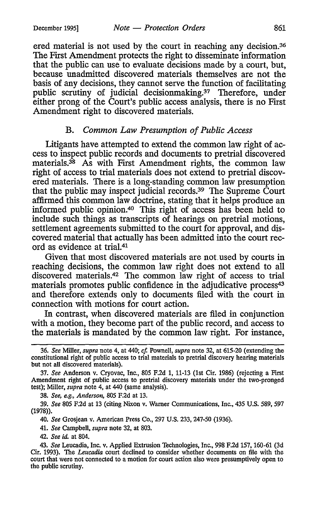ered material is not used by the court in reaching any decision.36 The First Amendment protects the right to disseminate information that the public can use to evaluate decisions made by a court, but, because unadmitted discovered materials themselves are not the basis of any decisions, they cannot serve the function of facilitating public scrutiny of judicial decisionmaking.<sup>37</sup> Therefore, under either prong of the Court's public access analysis, there is no First Amendment right to discovered materials.

#### B. *Common Law Presumption of Public Access*

Litigants have attempted to extend the common law right of access to inspect public records and documents to pretrial discovered materials.<sup>38</sup> As with First Amendment rights, the common law right of access to trial materials does not extend to pretrial discovered materials. There is a long-standing common law presumption that the public may inspect judicial records.39 The Supreme Court affirmed this common law doctrine, stating that it helps produce an informed public opinion.40 This right of access has been held to include such things as transcripts of hearings on pretrial motions, settlement agreements submitted to the court for approval, and discovered material that actually has been admitted into the court record as evidence at trial.41

Given that most discovered materials are not. used by courts in reaching decisions, the common law right does not extend to all discovered materials.42 The common law right of access to trial materials promotes public confidence in the adjudicative process<sup>43</sup> and therefore extends only to documents filed with the court in connection with motions for court action.

In contrast, when discovered materials are filed in conjunction with a motion, they become part of the public record, and access to the materials is mandated by the common law right. For instance,

38. *See, e.g., Anderson,* 805 F.2d at 13.

39. *See* 805 F.2d at 13 (citing Nixon v. Warner Communications, Inc., 435 U.S. 589,597 (1978)).

40. *See* Grosjean v. American Press Co., 297 U.S. 233, 247-50 (1936).

41. *See* Campbell, *supra* note 32, at 803.

42. *See id.* at 804.

<sup>36.</sup> *See* Miller, *supra* note 4, at 440; *cf.* Pownell, *supra* note 32, at 615-20 (extending the constitutional right of public access to trial materials to pretrial discovery hearing materials but not all discovered materials).

<sup>37.</sup> *See* Anderson v. Cryovac, Inc., 805 F.2d 1, 11-13 (1st Cir. 1986) (rejecting a First Amendment right of public access to pretrial discovery materials under the two-pronged test); Miller, *supra* note 4, at 440 (same analysis).

<sup>43.</sup> *See* Leucadia, Inc. v. Applied Extrusion Technologies, Inc., 998 F.2d 157, 160-61 (3d Cir. 1993). The *Leucadia* court declined to consider whether documents on file with the court that were not connected to a motion for court action also were presumptively open to the public scrutiny.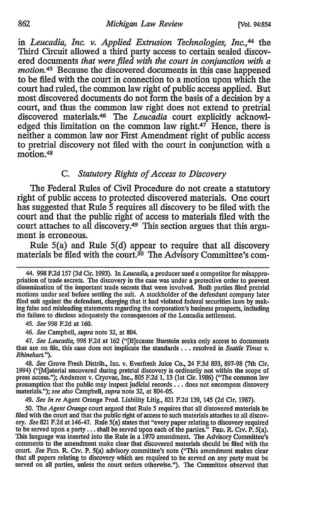#### 862 *Michigan Law Review* [Vol. 94:854

in *Leucadia, Inc. v. Applied Extrusion Technologies, Inc.*,<sup>44</sup> the Third Circuit allowed a third party access to certain sealed discovered documents *that were filed with the court in conjunction with a motion.* 45 Because the discovered documents in this case happened to be filed with the court in connection to a motion upon which the court had ruled, the common law right of public access applied. But most discovered documents do not form the basis of a decision by a court, and thus the common law right does not extend to pretrial discovered materials.46 The *Leucadia* court explicitly acknowledged this limitation on the common law right.<sup>47</sup> Hence, there is neither a common law nor First Amendment right of public access to pretrial discovery not filed with the court in conjunction with a motion.<sup>48</sup>

#### C. *Statutory Rights of Access to Discovery*

The Federal Rules of Civil Procedure do not create a statutory right of public access to protected discovered materials. One court has suggested that Rule 5 requires all discovery to be filed with the court and that the public right of access to materials filed with the court attaches to all discovery.49 This section argues that this argument is erroneous.

Rule S(a) and Rule S(d) appear to require that all discovery materials be filed with the court.50 The Advisory Committee's com-

45. *See* 998 F.2d at 160.

46. *See* campbell, *supra* note 32, at 804.

47. *See Leucadia,* 998 F.2d at 162 ("[B]ecause Burstein seeks only access to documents that are on file, this case does not implicate the standards ... resolved in *Seattle Times v. Rhinehart.").* 

48. *See* Grove Fresh Distrib., Inc. v. Everfresh Juice Co., 24 F.3d 893, 897-98 (7th Cir. 1994) ("[M]aterial uncovered during pretrial discovery is ordinarily not within the scope of press access."); Anderson v. Cryovac, Inc., 805 F.2d 1, 13 (1st Cir. 1986) ("The common law presumption that the public may inspect judicial records ... does not encompass discovery materials."); *see also* Campbell, *supra* note 32, at 804-05.

49. *See In re* Agent Orange Prod. Liability Litig., 821 F.2d 139, 145 (2d Cir. 1987).

50. The *Agent Orange* court argued that Rule 5 requires that all discovered materials be filed with the court and that the public right of access to such materials attaches to all discovery. *See* 821 F.2d at 146-47. Rule S(a) states that "every paper relating to discovery required to be served upon a party  $\dots$  shall be served upon each of the parties." FED. R. Civ. P. 5(a). This language was inserted into the Rule in a 1970 amendment. The Advisory Committee's comments to the amendment make clear that discovered materials should be filed with the court. *See* FED. R. Crv. P. S(a) advisory committee's note ("This amendment makes clear that all papers relating to discovery which are required to be served on any party must be served on all parties, unless the court orders otherwise."). The Committee observed that

<sup>44. 998</sup> F.2d 157 (3d Cir. 1993). In *Leucadia,* a producer sued a competitor for misappropriation of trade secrets. The discovery in the case was under a protective order to prevent dissemination of the important trade secrets that were involved. Both parties filed pretrial motions under seal before settling the suit. A stockholder of the defendant company later filed suit against the defendant, charging that it had violated federal securities laws by making false and misleading statements regarding the corporation's business prospects, including the failure to disclose adequately the consequences of the Leucadia settlement.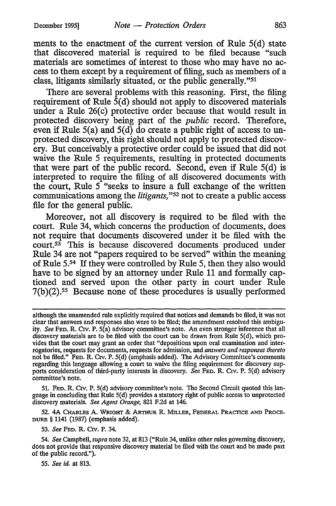ments to the enactment of the current version of Rule  $5(d)$  state that discovered material is required to be filed because "such materials are sometimes of interest to those who may have no access to them except by a requirement of filing, such as members of a class, litigants similarly situated, or the public generally."51

There are several problems with this reasoning. First, the filing requirement of Rule  $\dot{5}$ (d) should not apply to discovered materials under a Rule 26(c) protective order because that would result in protected discovery being part of the *public* record. Therefore, even if Rule  $5(a)$  and  $5(d)$  do create a public right of access to unprotected discovery, this right should not apply to protected discovery. But conceivably a protective order could be issued that did not waive the Rule 5 requirements, resulting in protected documents that were part of the public record. Second, even if Rule  $5(d)$  is interpreted to require the filing of all discovered documents with the court, Rule  $5$  "seeks to insure a full exchange of the written communications among the *litigants,* "52 not to create a public access file for the general public.

Moreover, not all discovery is required to be filed with the court. Rule 34, which concerns the production of documents, does not require that documents discovered under it be filed with the court.53 This is because discovered documents produced under Rule 34 are not "papers required to be served" within the meaning of Rule 5.54 If they were controlled by Ru1e 5, then they also wou1d have to be signed by an attorney under Rule 11 and formally captioned and served upon the other party in court under Rule 7(b)(2).55 Because none of these procedures is usually performed

51. FED. R. Crv. P. 5(d) advisory committee's note. The Second Circuit quoted this language in concluding that Rule 5(d) provides a statutory right of public access to unprotected discovery materials. *See Agent Orange,* 821 F.2d at 146.

52. 4A CHARLES A. WRIGHT & ARTHUR R. MILLER, FEDERAL PRACTICE AND PROCE-DURE§ 1141 (1987) (emphasis added).

53. *See* FED. R. Crv. P. 34.

54. *See* Campbell, *supra* note 32, at 813 ("Rule 34, unlike other rules governing discovery, does not provide that responsive discovery material be filed with the court and be made part of the public record.").

*55. See* id. at 813.

although the unamended rule explicitly required that notices and demands be filed, it was not clear that answers and responses also were to be filed; the amendment resolved this ambiguity. *See* FED. R. Crv. P. 5(a) advisory committee's note. An even stronger inference that all discovery materials are to be filed with the court can be drawn from Rule 5(d), which provides that the court may grant an order that "depositions upon oral examination and interrogatories, requests for documents, requests for admission, and *answers and responses thereto*  not be filed." FED. R. Crv. P. 5(d) (emphasis added). The Advisory Committee's comments regarding this language allowing a court to waive the filing requirement for discovery supports consideration of third-party interests in discovery. *See* FED. R. Crv. P. 5(d) advisory committee's note.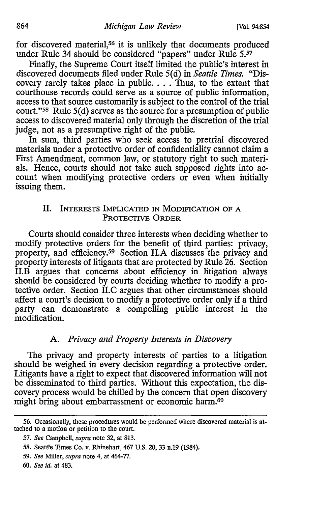for discovered material,<sup>56</sup> it is unlikely that documents produced under Rule 34 should be considered "papers" under Rule 5.57

Finally, the Supreme Court itself limited the public's interest in discovered documents filed under Rule 5( d) in *Seattle Times.* "Discovery rarely takes place in public.  $\ldots$  Thus, to the extent that courthouse records could serve as a source of public information, access to that source customarily is subject to the control of the trial court."<sup>58</sup> Rule  $5(d)$  serves as the source for a presumption of public access to discovered material only through the discretion of the trial judge, not as a presumptive right of the public.

In sum, third parties who seek access to pretrial discovered materials under a protective order of confidentiality cannot claim a First Amendment, common law, or statutory right to such materials. Hence, courts should not take such supposed rights into account when modifying protective orders or even when initially issuing them.

## II. INTERESTS IMPLICATED IN MODIFICATION OF A PROTECTIVE ORDER

Courts should consider three interests when deciding whether to modify protective orders for the benefit of third parties: privacy, property, and efficiency.59 Section II.A discusses the privacy and property interests of litigants that are protected by Rule 26. Section II.B argues that concerns about efficiency in litigation always should be considered by courts deciding whether to modify a protective order. Section II.C argues that other circumstances should affect a court's decision to modify a protective order only if a third party can demonstrate a compelling public interest in the modification.

## A. *Privacy and Property Interests in Discovery*

The privacy and property interests of parties to a litigation should be weighed in every decision regarding a protective order. Litigants have a right to expect that discovered information will not be disseminated to third parties. Without this expectation, the discovery process would be chilled by the concern that open discovery might bring about embarrassment or economic harm.<sup>60</sup>

60. *See id.* at 483.

<sup>56.</sup> Occasionally, these procedures would be performed where discovered material is attached to a motion or petition to the court.

<sup>57.</sup> *See* Campbell, *supra* note 32, at 813.

<sup>58.</sup> Seattle Times Co. v. Rhinehart, 467 U.S. 20, 33 n.19 (1984).

<sup>59.</sup> *See* Miller, *supra* note 4, at 464-77.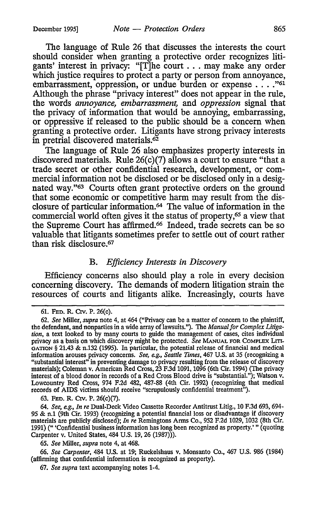The language of Rule 26 that discusses the interests the court should consider when granting a protective order recognizes litigants' interest in privacy: "[T]he court ... may make any order which justice requires to protect a party or person from annoyance, embarrassment, oppression, or undue burden or expense . . . . "61 Although the phrase "privacy interest" does not appear in the rule, the words *annoyance, embarrassment,* and *oppression* signal that the privacy of information that would be annoying, embarrassing, or oppressive if released to the public should be a concern when granting a protective order. Litigants have strong privacy interests in pretrial discovered materials. $\vec{\infty}$ 

The language of Rule 26 also emphasizes property interests in discovered materials. Rule  $26(c)(7)$  allows a court to ensure "that a trade secret or other confidential research, development, or commercial information not be disclosed or be disclosed only in a designated way."63 Courts often grant protective orders on the ground that some economic or competitive harm may result from the disclosure of particular information.64 The value of information in the commercial world often gives it the status of property,<sup>65</sup> a view that the Supreme Court has affirmed. 66 Indeed, trade secrets can be so valuable that litigants sometimes prefer to settle out of court rather than risk disclosure. <sup>67</sup>

## B. *Efficiency Interests in Discovery*

Efficiency concerns also should play a role in every decision concerning discovery. The demands of modem litigation strain the resources of courts and litigants alike. Increasingly, courts have

63. FED. R. CIV. P. 26(c)(7).

64. *See, e.g., In re* Dual-Deck Video Cassette Recorder Antitrust Litig., 10 F.3d 693, 694- 95 & n.1 (9th Cir. 1993) (recognizing a potential financial loss or disadvantage if discovery materials are publicly disclosed); *In re* Remingtons Arms Co., 952 F.2d 1029, 1032 (8th Cir. 1991) (" 'Confidential business information has long been recognized as property.' " (quoting Carpenter v. United States, 484 U.S. 19, 26 (1987))).

65. *See* Miller, *supra* note 4, at 468.

66. *See Carpenter,* 484 U.S. at 19; Ruckelshaus v. Monsanto Co., 467 U.S. 986 {1984) (affirming that confidential information is recognized as property).

67. *See supra* text accompanying notes 1-4.

<sup>61.</sup> FED. R. CIV. P. 26(c).

<sup>62.</sup> *See* Miller, *supra* note 4, at 464 ("Privacy can be a matter of concern to the plaintiff, the defendant, and nonparties in a wide array of lawsuits."). The *Manual for Complex Litigation,* a text looked to by many courts to guide the management of cases, cites individual privacy as a basis on which discovery might be protected. *See* MANUAL FOR CoMPLEX Lm-GATION § 21.43 & n.132 (1995). In particular, the potential release of financial and medical information arouses privacy concerns. *See, e.g., Seattle Times,* 467 U.S. at 35 (recognizing a "substantial interest" in preventing damage to privacy resulting from the release of discovery materials); Coleman v. American Red Cross, 23 F.3d 1091, 1096 (6th Cir. 1994) (The privacy interest of a blood donor in records of a Red Cross Blood drive is "substantial."); Watson v. Lowcountry Red Cross, 974 F.2d 482, 487-88 (4th Cir. 1992) (recognizing that medical records of AIDS victims should receive "scrupulously confidential treatment").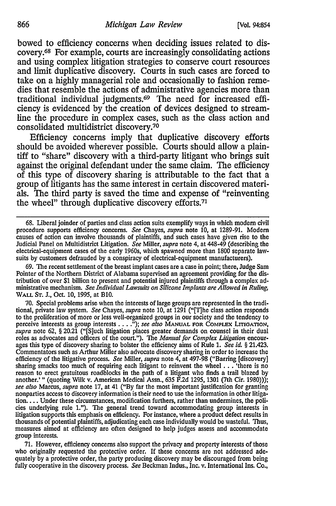bowed to efficiency concerns when deciding issues related to discovery.68 For example, courts are increasingly consolidating actions and using complex litigation strategies to conserve court resources and limit duplicative discovery. Courts in such cases are forced to take on a highly managerial role and occasionally to fashion remedies that resemble the actions of administrative agencies more than traditional individual judgments.69 The need for increased efficiency is evidenced by the creation of devices designed to streamline the procedure in complex cases, such as the class action and consolidated multidistrict discovery.<sup>70</sup>

Efficiency concerns imply that duplicative discovery efforts should be avoided wherever possible. Courts should allow a plaintiff to "share" discovery with a third-party litigant who brings suit against the original defendant under the same claim. The efficiency of this type of discovery sharing is attributable to the fact that a group of litigants has the same interest in certain discovered materials. The third party is saved the time and expense of "reinventing the wheel" through duplicative discovery efforts.7<sup>1</sup>

68. Liberal joinder of parties and class action suits exemplify ways in which modern civil procedure supports efficiency concerns. *See* Chayes, *supra* note 10, at 1289-91. Modern causes of action can involve thousands of plaintiffs, and such cases have given rise to the Judicial Panel on Multidistrict Litigation. *See* Miller, *supra* note 4, at 448-49 (describing the electrical-equipment cases of the early 1960s, which spawned more than 1800 separate lawsuits by customers defrauded by a conspiracy of electrical-equipment manufacturers).

69. The recent settlement of the breast implant cases are a case in point; there, Judge Sam Pointer of the Northern District of Alabama supervised an agreement providing for the distribution of over \$1 billion to present and potential injured plaintiffs through a complex administrative mechanism. *See Individual Lawsuits on Silicone Implants are Allowed in Ruling,*  WALL ST. J., Oct. 10, 1995, at B10.

70. Special problems arise when the interests of large groups are represented in the traditional, private law system. *See* Chayes, *supra* note 10, at 1291 ("[T]he class action responds to the proliferation of more or less well-organized groups in our society and the tendency to perceive interests as group interests .... "); *see also* MANUAL FOR COMPLEX LITIGATION, *supra* note 62, § 20.21 ("[S]uch litigation places greater demands on counsel in their dual roles as advocates and officers of the court."). The *Manual for Complex Litigation* encourages this type of discovery sharing to bolster the efficiency aims of Rule 1. *See id.* § 21.423. Commentators such as Arthur Miller also advocate discovery sharing in order to increase the efficiency of the litigative process. *See* Miller, *supra* note 4, at 497-98 ("Barring [discovery] sharing smacks too much of requiring each litigant to reinvent the wheel . . . 'there is no reason to erect gratuitous roadblocks in the path of a litigant who finds a trail blazed by another.'" (quoting Wilk v. American Medical Assn., 635 F.2d 1295, 1301 (7th Cir. 1980))); *see also* Marcus, *supra* note 17, at 41 ("By far the most important justification for granting nonparties access to discovery information is their need to use the information in other litigation. . . . Under these circumstances, modification furthers, rather than undermines, the policies underlying rule 1.''). The general trend toward accommodating group interests in litigation supports this emphasis on efficiency. For instance, where a product defect results in thousands of potential plaintiffs, adjudicating each case individually would be wasteful. Thus, measures aimed at efficiency are often designed to help judges assess and accommodate group interests.

71. However, efficiency concerns also support the privacy and property interests of those who originally requested the protective order. If these concerns are not addressed adequately by a protective order, the party producing discovery may be discouraged from being fully cooperative in the discovery process. *See* Beckman Indus., Inc. v. International Ins. Co.,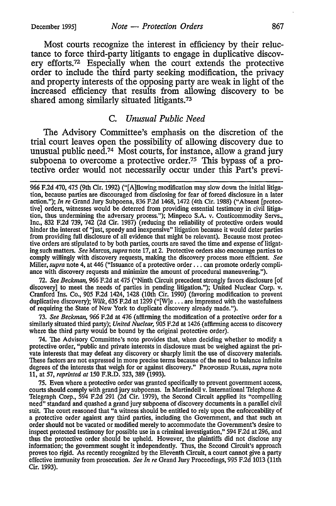Most courts recognize the interest in efficiency by their reluctance to force third-party litigants to engage in duplicative discovery efforts.<sup>72</sup> Especially when the court extends the protective order to include the third party seeking modification, the privacy and property interests of the opposing party are weak in light of the increased efficiency that results from allowing discovery to be shared among similarly situated litigants.73

### C. *Unusual Public Need*

The Advisory Committee's emphasis on the discretion of the trial court leaves open the possibility of allowing discovery due to unusual public need.74 Most courts, for instance, allow a grand jury subpoena to overcome a protective order.<sup>75</sup> This bypass of a protective order would not necessarily occur under this Part's previ-

72. *See Beckman,* 966 F.2d at 475 ("Ninth Circuit precedent strongly favors disclosure [of discovery] to meet the needs of parties in pending litigation."); United Nuclear Corp. v. Cranford Ins. Co., 905 F.2d 1424, 1428 (lOth Cir. 1990) (favoring modification to prevent duplicative discovery); *Wilk,* 635 F.2d at 1299 ("[W]e ... are impressed with the wastefulness of requiring the State of New York to duplicate discovery already made.").

73. *See Beckman,* 966 F.2d at 476 (affirming the modification of a protective order for a similarly situated third party); *United Nuclear,* 905 F.2d at 1426 (affirming access to discovery where the third party would be bound by the original protective order).

74. The Advisory Committee's note provides that, when deciding whether to modify a protective order, "public and private interests in disclosure must be weighed against the private interests that may defeat any discovery or sharply limit the use of discovery materials. These factors are not expressed in more precise terms because of the need to balance infinite degrees of the interests that weigh for or against discovery." PROPOSED RuLES, *supra* note 11, at 57, *reprinted at* 150 F.R.D. 323, 389 (1993).

75. Even where a protective order was granted specifically to prevent government access, courts should comply with grand jury subpoenas. In Martindell v. International Telephone & Telegraph Corp., 594 F.2d 291 (2d Cir. 1979), the Second Circuit applied its "compelling need" standard and quashed a grand jury subpoena of discovery documents in a parallel civil suit. The court reasoned that "a witness should be entitled to rely upon the enforceability of a protective order against any third parties, including the Government, and that such an order should not be vacated or modified merely to accommodate the Government's desire to inspect protected testimony for possible use in a criminal investigation," 594 F.2d at 296, and thus the protective order should be upheld. However, the plaintiffs did not disclose any information; the government sought it independently. Thus, the Second Circuit's approach proves too rigid. As recently recognized by the Eleventh Circuit, a court cannot give a party effective immunity from prosecution. *See In re* Grand Jury Proceedings, 995 F.2d 1013 (11th Cir. 1993).

<sup>966</sup> F.2d 470, 475 (9th Cir. 1992) ("[A]Ilowing modification may slow down the initial litigation, because parties are discouraged from disclosing for fear of forced disclosure in a later action."); *In re* Grand Jury Subpoena, 836 F.2d 1468, 1472 (4th Cir. 1988) ("Absent [protective] orders, witnesses would be deterred from providing essential testimony in civil litigation, thus undermining the adversary process."); Minpeco S.A. v. Conticommodity Servs., Inc., 832 F.2d 739, 742 (2d Cir. 1987) (reducing the reliability of protective orders would hinder the interest of "just, speedy and inexpensive" litigation because it would deter parties from providing full disclosure of all evidence that might be relevant). Because most protective orders are stipulated to by both parties, courts are saved the time and expense of litigating such matters. *See* Marcus, *supra* note 17, at 2. Protective orders also encourage parties to comply willingly with discovery requests, making the discovery process more efficient. *See*  Miller, *supra* note 4, at 446 ("Issuance of a protective order ... can promote orderly compliance with discovery requests and minimize the amount of procedural maneuvering.").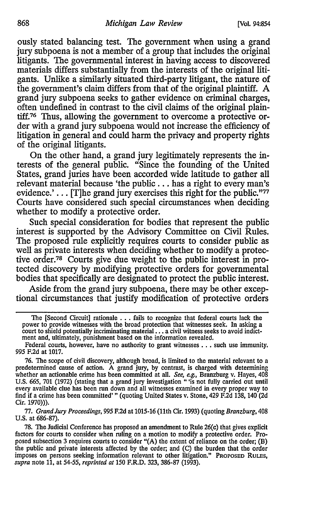ously stated balancing test. The government when using a grand jury subpoena is not a member of a group that includes the original litigants. The governmental interest in having access to discovered materials differs substantially from the interests of the original litigants. Unlike a similarly situated third-party litigant, the nature of the government's claim differs from that of the original plaintiff. A grand jury subpoena seeks to gather evidence on criminal charges, often undefined in contrast to the civil claims of the original plaintiff.76 Thus, allowing the government to overcome a protective order with a grand jury subpoena would not increase the efficiency of litigation in general and could harm the privacy and property rights of the original litigants.

On the other hand, a grand jury legitimately represents the interests of the general public. "Since the founding of the United States, grand juries have been accorded wide latitude to gather all relevant material because 'the public ... has a right to every man's evidence.'... [T]he grand jury exercises this right for the public."77 Courts have considered such special circumstances when deciding whether to modify a protective order.

Such special consideration for bodies that represent the public interest is supported by the Advisory Committee on Civil Rules. The proposed rule explicitly requires courts to consider public as well as private interests when deciding whether to modify a protective order.78 Courts give due weight to the public interest in protected discovery by modifying protective orders for governmental bodies that specifically are designated to protect the public interest.

Aside from the grand jury subpoena, there may be other exceptional circumstances that justify modification of protective orders

77. *Grand Jury Proceedings, 995* F.2d at 1015-16 (11th Cir. 1993) (quoting *Branzburg,* 408 U.S. at 686-87).

78. The Judicial Conference has proposed an amendment to Rule 26(c) that gives explicit factors for courts to consider when ruling on a motion to modify a protective order. Proposed subsection 3 requires courts to consider "(A) the extent of reliance on the order; (B) the public and private interests affected by the order; and (C) the burden that the order imposes on persons seeking information relevant to other litigation." PROPOSED RuLEs, *supra* note 11, at 54-55, *reprinted at* 150 F.R.D. 323, 386-87 (1993).

The [Second Circuit] rationale . . . fails to recognize that federal courts lack the power to provide witnesses with the broad protection that witnesses seek. In asking a court to shield potentially incriminating material  $\ldots$  a civil witness seeks to avoid indictment and, ultimately, punishment based on the information revealed.

Federal courts, however, have no authority to grant witnesses ..• such use immunity. *995* F.2d at 1017.

<sup>76.</sup> The scope of civil discovery, although broad, is limited to the material relevant to a predetermined cause of action. A grand jury, by contrast, is charged with determining whether an actionable crime has been committed at all. *See, e.g.,* Branzburg v. Hayes, 408 U.S. 665, 701 (1972) (stating that a grand jury investigation " 'is not fully carried out until every available clue has been run down and all witnesses examined in every proper way to find if a crime has been committed'" (quoting United States v. Stone, 429 F.2d 138, 140 (2d Cir. 1970))).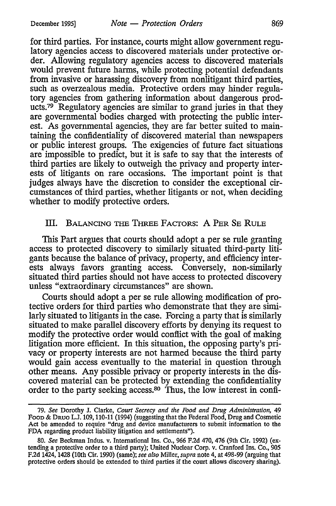for third parties. For instance, courts might allow government regulatory agencies access to discovered materials under protective order. Allowing regulatory agencies access to discovered materials would prevent future harms, while protecting potential defendants from invasive or harassing discovery from nonlitigant third parties, such as overzealous media. Protective orders may hinder regulatory agencies from gathering information about dangerous products.79 Regulatory agencies are similar to grand juries in that they are governmental bodies charged with protecting the public interest. As governmental agencies, they are far better suited to maintaining the confidentiality of discovered material than newspapers or public interest groups. The exigencies of future fact situations are impossible to predict, but it is safe to say that the interests of third parties are likely to outweigh the privacy and property interests of litigants on rare occasions. The important point is that judges always have the discretion to consider the exceptional circumstances of third parties, whether litigants or not, when deciding whether to modify protective orders.

### III. BALANCING THE THREE FACTORS: A PER SE RULE

This Part argues that courts should adopt a per se rule granting access to protected discovery to similarly situated third-party litigants because the balance of privacy, property, and efficiency interests always favors granting access. Conversely, non-similarly situated third parties should not have access to protected discovery unless "extraordinary circumstances" are shown.

Courts should adopt a per se rule allowing modification of protective orders for third parties who demonstrate that they are similarly situated to litigants in the case. Forcing a party that is similarly situated to make parallel discovery efforts by denying its request to modify the protective order would conflict with the goal of making litigation more efficient. In this situation, the opposing party's privacy or property interests are not harmed because the third party would gain access eventually to the material in question through other means. Any possible privacy or property interests in the discovered material can be protected by extending the confidentiality order to the party seeking access.<sup>80</sup> Thus, the low interest in confi-

<sup>79.</sup> *See* Dorothy J. Clarke, *Court Secrecy and the Food and Drug Administration,* 49 Fooo & DRuG L.J. 109, 110-11 (1994) (suggesting that the Federal Food, Drug and Cosmetic Act be amended to require "drug and device manufacturers to submit information to the FDA regarding product liability litigation and settlements").

<sup>80.</sup> *See* Beckman Indus. v. International Ins. Co., 966 F.2d 470, 476 (9th Cir. 1992) (extending a protective order to a third party); United Nuclear Corp. v. Cranford Ins. Co., 905 F.2d 1424, 1428 (lOth Cir. 1990) (same); *see also* Miller, *supra* note 4, at 498-99 (arguing that protective orders should be extended to third parties if the court allows discovery sharing).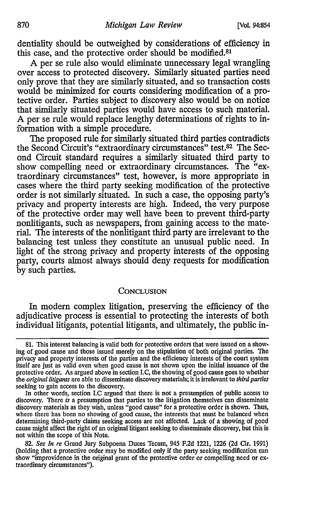dentiality should be outweighed by considerations of efficiency in this case, and the protective order should be modified.<sup>81</sup>

A per se rule also would eliminate unnecessary legal wrangling over access to protected discovery. Similarly situated parties need only prove that they are similarly situated, and so transaction costs would be minimized for courts considering modification of a protective order. Parties subject to discovery also would be on notice that similarly situated parties would have access to such material. A per se rule would replace lengthy determinations of rights to information with a simple procedure.

The proposed rule for similarly situated third parties contradicts the Second Circuit's "extraordinary circumstances" test.82 The Second Circuit standard requires a similarly situated third party to show compelling need or extraordinary circumstances. The "extraordinary circumstances" test, however, is more appropriate in cases where the third party seeking modification of the protective order is not similarly situated. In such a case, the opposing party's privacy and property interests are high. Indeed, the very purpose of the protective order may well have been to prevent third-party nonlitigants, such as newspapers, from gaining access to the material. The interests of the nonlitigant third party are irrelevant to the balancing test unless they constitute an unusual public need. In light of the strong privacy and property interests of the opposing party, courts almost always should deny requests for modification by such parties.

#### **CONCLUSION**

In modem complex litigation, preserving the efficiency of the adjudicative process is essential to protecting the interests of both individual litigants, potential litigants, and ultimately, the public in-

<sup>81.</sup> This interest balancing is valid both for protective orders that were issued on a showing of good cause and those issued merely on the stipulation of both original parties. The privacy and property interests of the parties and the efficiency interests of the court system itself are just as valid even when good cause is not shown upon the initial issuance of the protective order. As argued above in section I.C, the showing of good cause goes to whether the *original litigants* are able to disseminate discovery materials; it is irrelevant to *third parties*  seeking to gain access to the discovery.

In other words, section I.C argued that there is not a presumption of public access to discovery. There *is* a presumption that parties to the litigation themselves can disseminate discovery materials as they wish, unless "good cause" for a protective order is shown. Thus, where there has been no showing of good cause, the interests that must be balanced when determining third-party claims seeking access are not affected. Lack of a showing of good cause might affect the right of an original litigant seeking to disseminate discovery, but this is not within the scope of this Note.

<sup>82.</sup> *See In re* Grand Jury Subpoena Duces Tecum, 945 F.2d 1221, 1226 (2d Cir. 1991) (holding that a protective order may be modified only if the party seeking modification can show "improvidence in the original grant of the protective order or compelling need or extraordinary circumstances").